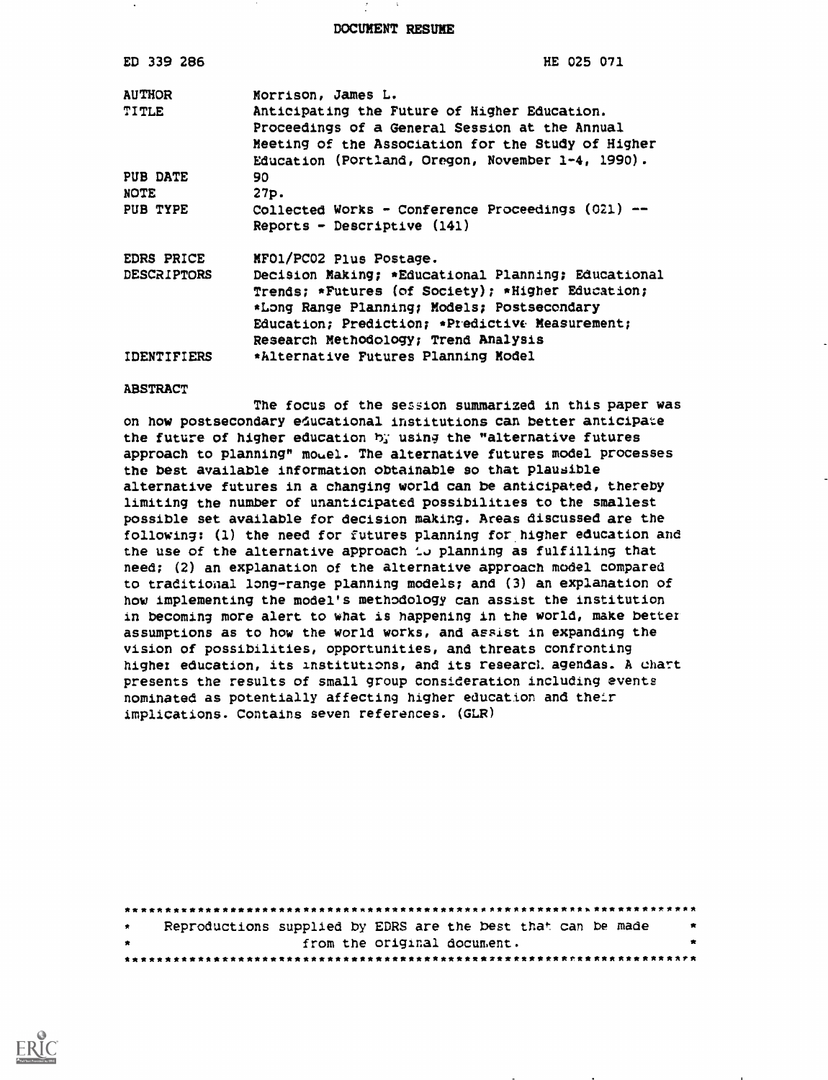DOCUMENT RESUME

| ED 339 286         | HE 025 071                                                                                                                                                                                                                                         |
|--------------------|----------------------------------------------------------------------------------------------------------------------------------------------------------------------------------------------------------------------------------------------------|
| <b>AUTHOR</b>      | Morrison, James L.                                                                                                                                                                                                                                 |
| <b>TITLE</b>       | Anticipating the Future of Higher Education.                                                                                                                                                                                                       |
|                    | Proceedings of a General Session at the Annual<br>Meeting of the Association for the Study of Higher<br>Education (Portland, Oregon, November 1-4, 1990).                                                                                          |
| PUB DATE           | 90                                                                                                                                                                                                                                                 |
| <b>NOTE</b>        | 27p.                                                                                                                                                                                                                                               |
| PUB TYPE           | Collected Works - Conference Proceedings (021) --<br>$Reports$ - Descriptive $(141)$                                                                                                                                                               |
| EDRS PRICE         | MFO1/PC02 Plus Postage.                                                                                                                                                                                                                            |
| <b>DESCRIPTORS</b> | Decision Making; *Educational Planning; Educational<br>Trends; *Futures (of Society); *Higher Education;<br>*Long Range Planning; Models; Postsecondary<br>Education; Prediction; *Predictive Measurement;<br>Research Methodology; Trend Analysis |
| <b>IDENTIFIERS</b> | *Alternative Futures Planning Model                                                                                                                                                                                                                |

#### **ABSTRACT**

The focus of the session summarized in this paper was on how postsecondary educational institutions can better anticipate the future of higher education by using the "alternative futures approach to planning" mouel. The alternative futures model processes the best available information obtainable so that plausible alternative futures in a changing world can be anticipated, thereby limiting the number of unanticipated possibilities to the smallest possible set available for decision making. Areas discussed are the following: (1) the need for futures planning for higher education and the use of the alternative approach to planning as fulfilling that need; (2) an explanation of the alternative approach model compared to traditional long-range planning models; and (3) an explanation of how implementing the model's methodology can assist the institution in becoming more alert to what is happening in the world, make better assumptions as to how the world works, and assist in expanding the vision of possibilities, opportunities, and threats confronting higher education, its institutions, and its research agendas. A chart presents the results of small group consideration including events nominated as potentially affecting higher education and their implications. Contains seven references. (GLR)

| $\bullet$ | Reproductions supplied by EDRS are the best that can be made |  |                             |  | $\bullet$ |
|-----------|--------------------------------------------------------------|--|-----------------------------|--|-----------|
| $\bullet$ |                                                              |  | from the original document. |  | $\bullet$ |
|           |                                                              |  |                             |  |           |

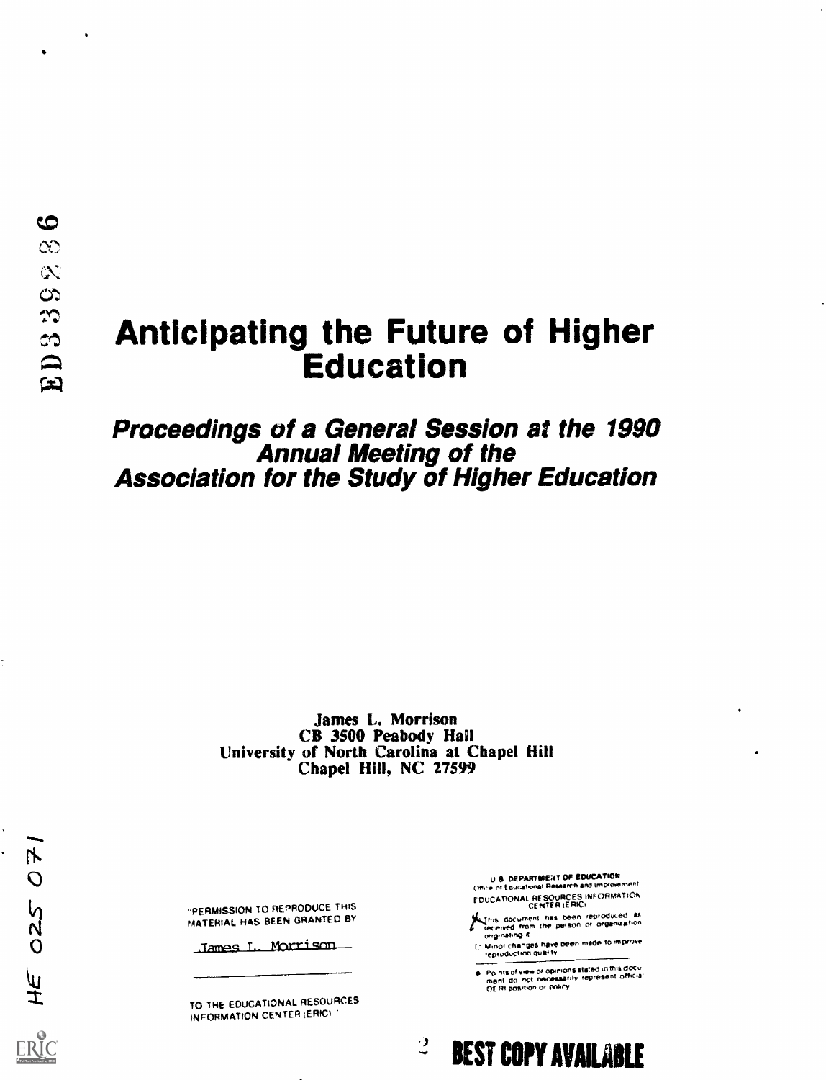## **Anticipating the Future of Higher Education**

# Proceedings of a General Session at the 1990<br>Annual Meeting of the **Association for the Study of Higher Education**

James L. Morrison CB 3500 Peabody Hall University of North Carolina at Chapel Hill Chapel Hill, NC 27599

"PERMISSION TO REPRODUCE THIS MATERIAL HAS BEEN GRANTED BY

James L. Morrison

TO THE EDUCATIONAL RESOURCES INFORMATION CENTER (ERIC)

**U.S. DEPARTMENT OF EDUCATION** Office of Educational Research and Improvement EDUCATIONAL RESOURCES INFORMATION

This document has been reproduced as<br>received from the person of organization<br>originating if

(\* Minor changes have been made to improve<br>reproduction quality

— <sub>mem</sub><br>e. Points of view or opinions stated in this document do inot inecessarily represent official<br>iment do inot necessarily represent official

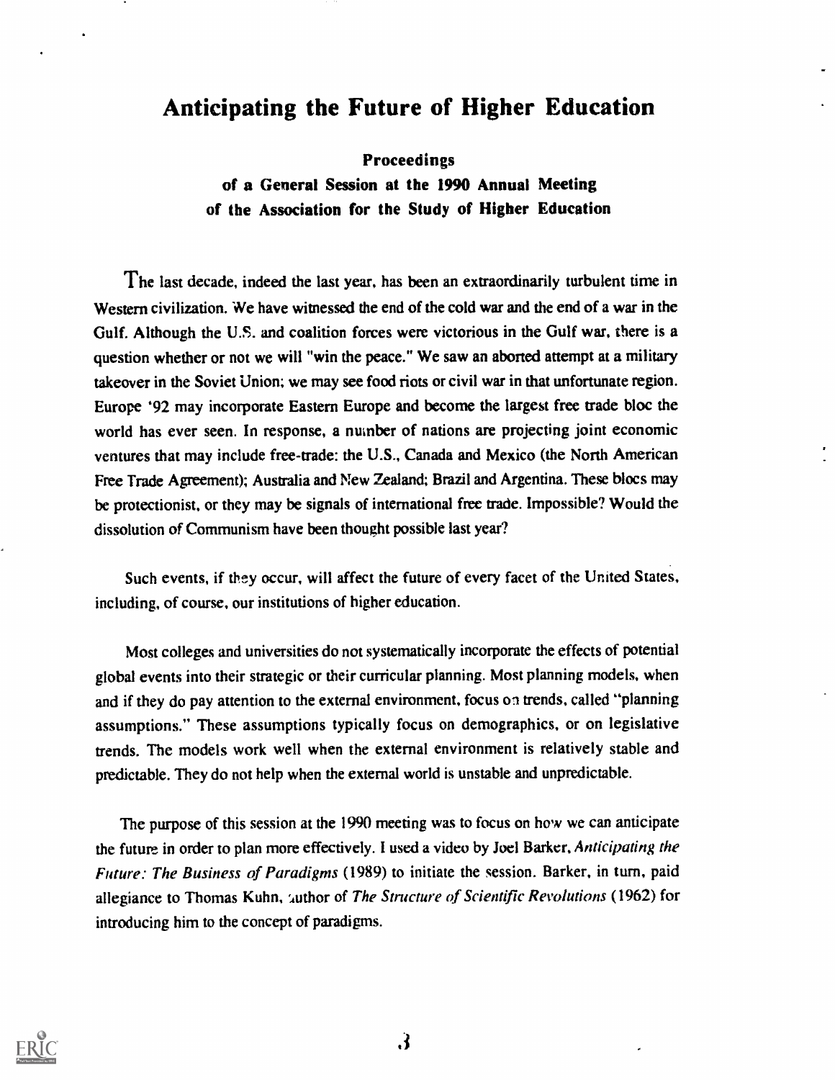## Anticipating the Future of Higher Education

Proceedings

of a General Session at the 1990 Annual Meeting of the Association for the Study of Higher Education

The last decade, indeed the last year, has been an extraordinarily turbulent time in Western civilization. We have witnessed the end of the cold war and the end of a war in the Gulf. Although the U.S. and coalition forces were victorious in the Gulf war, there is a question whether or not we will "win the peace." We saw an aborted attempt at a military takeover in the Soviet Union; we may see food riots or civil war in that unfortunate region. Europe '92 may incorporate Eastern Europe and become the largest free trade bloc the world has ever seen. In response, a number of nations are projecting joint economic ventures that may include free-trade: the U.S., Canada and Mexico (the North American Free Trade Agreement); Australia and New Zealand; Brazil and Argentina. These blocs may be protectionist, or they may be signals of international free trade. Impossible? Would the dissolution of Communism have been thought possible last year?

Such events, if they occur, will affect the future of every facet of the United States, including, of course, our institutions of higher education.

Most colleges and universities do not systematically incorporate the effects of potential global events into their strategic or their curricular planning. Most planning models, when and if they do pay attention to the external environment, focus on trends, called "planning assumptions." These assumptions typically focus on demographics, or on legislative trends. The models work well when the external environment is relatively stable and predictable. They do not help when the external world is unstable and unpredictable.

The purpose of this session at the 1990 meeting was to focus on how we can anticipate the future in order to plan more effectively. I used a video by Joel Barker, Anticipating the Future: The Business of Paradigms (1989) to initiate the session. Barker, in turn, paid allegiance to Thomas Kuhn, *'author of The Structure of Scientific Revolutions* (1962) for introducing him to the concept of paradigms.

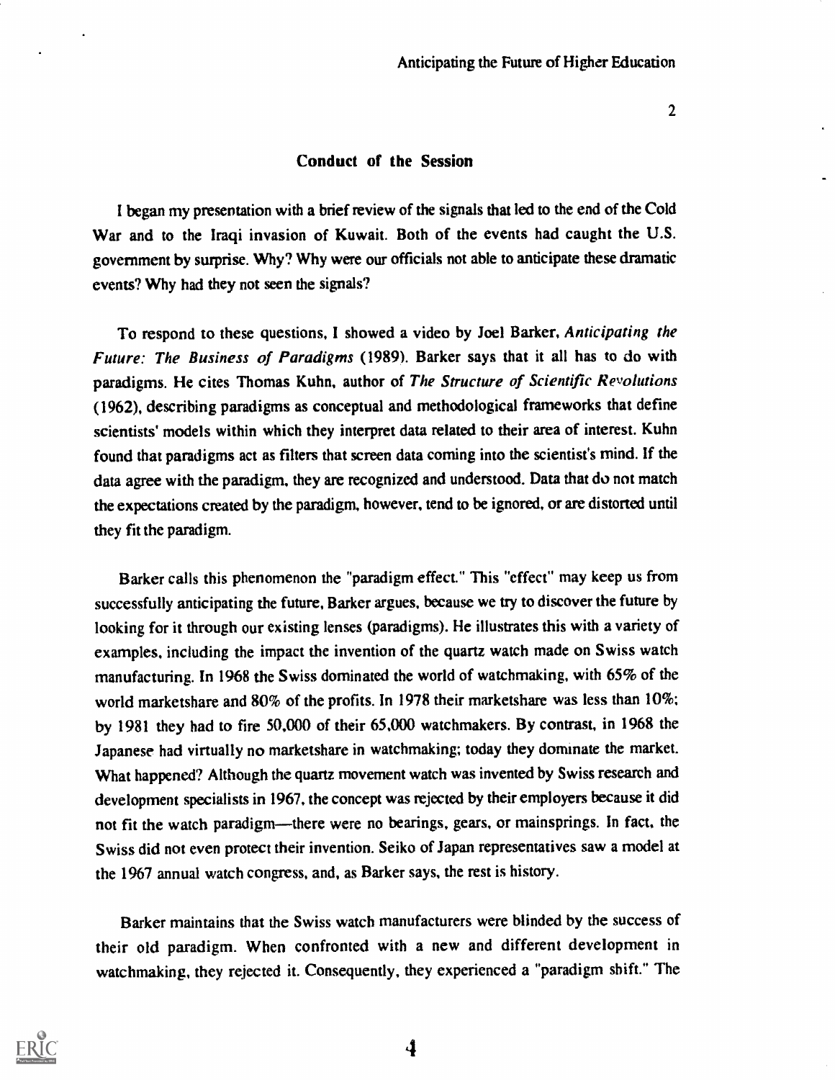#### Conduct of the Session

I began my presentation with a brief review of the signals that led to the end of the Cold War and to the Iraqi invasion of Kuwait. Both of the events had caught the U.S. government by surprise. Why? Why were our officials not able to anticipate these dramatic events? Why had they not seen the signals?

To respond to these questions, I showed a video by Joel Barker, Anticipating the Future: The Business of Paradigms (1989). Barker says that it all has to do with paradigms. He cites Thomas Kuhn, author of The Structure of Scientific Revolutions (1962), describing paradigms as conceptual and methodological frameworks that define scientists' models within which they interpret data related to their area of interest. Kuhn found that paradigms act as filters that screen data coming into the scientist's mind. If the data agree with the paradigm, they are recognized and understood. Data that do not match the expectations created by the paradigm, however, tend to be ignored, or are distorted until they fit the paradigm.

Barker calls this phenomenon the "paradigm effect." This "effect" may keep us from successfully anticipating the future, Barker argues, because we try to discover the future by looking for it through our existing lenses (paradigms). He illustrates this with a variety of examples, including the impact the invention of the quartz watch made on Swiss watch manufacturing. In 1968 the Swiss dominated the world of watchmaking, with 65% of the world marketshare and 80% of the profits. In 1978 their marketshare was less than 10%; by 1981 they had to fire 50,000 of their 65,000 watchmakers. By contrast, in 1968 the Japanese had virtually no marketshare in watchmaking; today they dominate the market. What happened? Although the quartz movement watch was invented by Swiss research and development specialists in 1967, the concept was rejected by their employers because it did not fit the watch paradigm—there were no bearings, gears, or mainsprings. In fact, the Swiss did not even protect their invention. Seiko of Japan representatives saw a model at the 1967 annual watch congress, and, as Barker says, the rest is history.

Barker maintains that the Swiss watch manufacturers were blinded by the success of their old paradigm. When confronted with a new and different development in watchmaking, they rejected it. Consequently, they experienced a "paradigm shift." The



4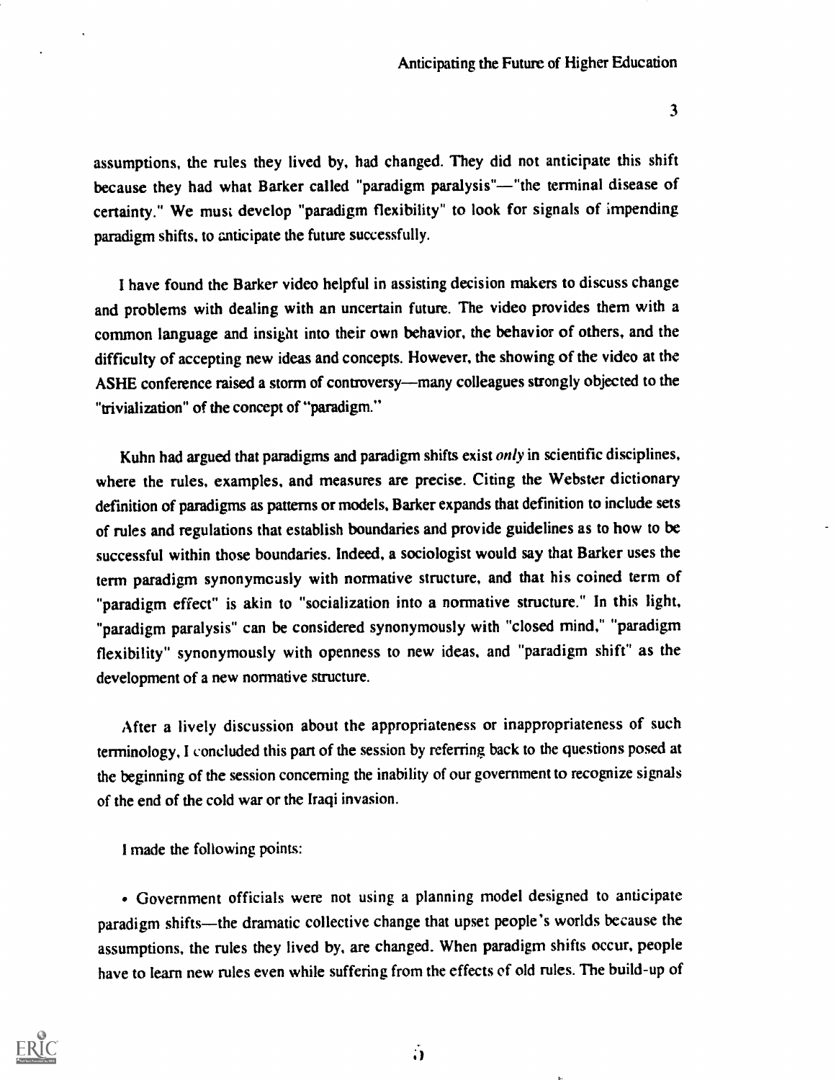assumptions, the rules they lived by, had changed. They did not anticipate this shift because they had what Barker called "paradigm paralysis"-- "the terminal disease of certainty." We must develop "paradigm flexibility" to look for signals of impending paradigm shifts, to anticipate the future successfully.

I have found the Barker video helpful in assisting decision makers to discuss change and problems with dealing with an uncertain future. The video provides them with a common language and insight into their own behavior, the behavior of others, and the difficulty of accepting new ideas and concepts. However, the showing of the video at the ASHE conference raised a storm of controversy-many colleagues strongly objected to the "trivialization" of the concept of "paradigm."

Kuhn had argued that paradigms and paradigm shifts exist  $only$  in scientific disciplines, where the rules, examples, and measures are precise. Citing the Webster dictionary definition of paradigms as patterns or models, Barker expands that definition to include sets of rules and regulations that establish boundaries and provide guidelines as to how to be successful within those boundaries. Indeed, a sociologist would say that Barker uses the term paradigm synonymously with normative structure, and that his coined term of "paradigm effect" is akin to "socialization into a normative structure." In this light, "paradigm paralysis" can be considered synonymously with "closed mind," "paradigm flexibility" synonymously with openness to new ideas, and "paradigm shift" as the development of a new normative structure.

After a lively discussion about the appropriateness or inappropriateness of such terminology, I concluded this part of the session by referring back to the questions posed at the beginning of the session concerning the inability of our government to recognize signals of the end of the cold war or the Iraqi invasion.

I made the following points:

Government officials were not using a planning model designed to anticipate paradigm shifts-the dramatic collective change that upset people's worlds because the assumptions, the rules they lived by, are changed. When paradigm shifts occur, people have to learn new rules even while suffering from the effects of old rules. The build-up of



 $\ddot{\mathbf{r}}$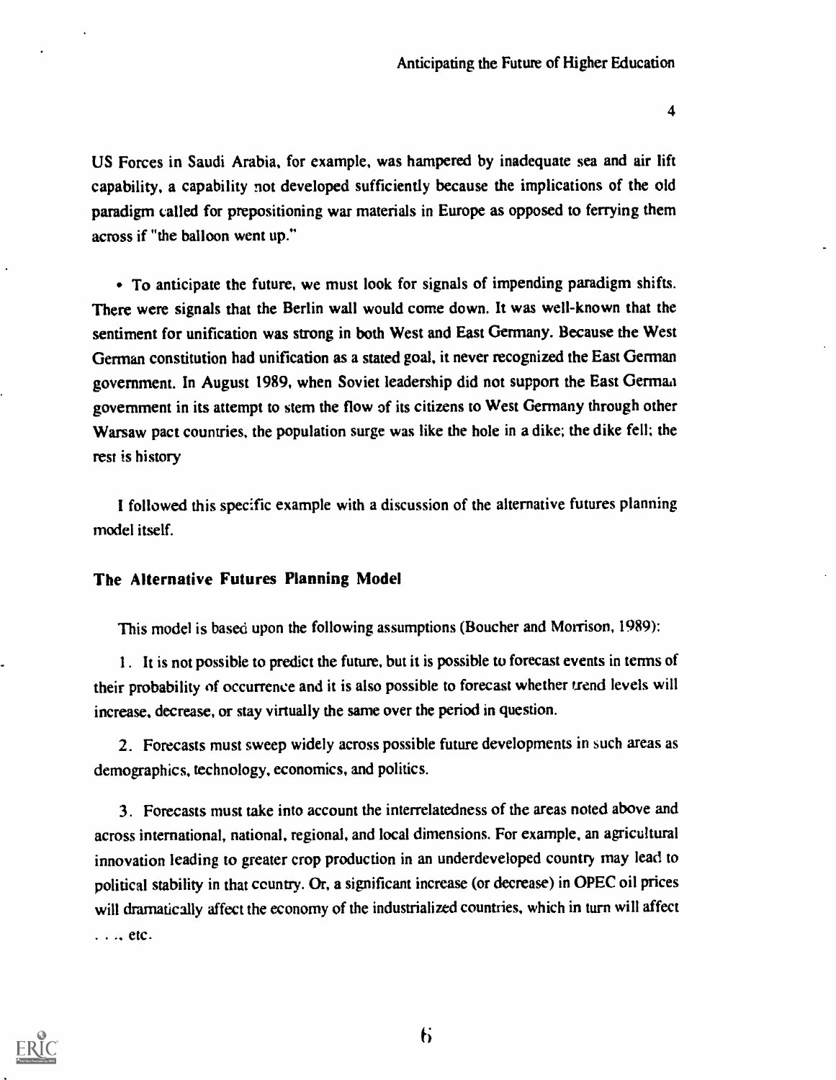US Forces in Saudi Arabia, for example, was hampered by inadequate sea and air lift capability, a capability not developed sufficiently because the implications of the old paradigm called for prepositioning war materials in Europe as opposed to ferrying them across if "the balloon went up."

• To anticipate the future, we must look for signals of impending paradigm shifts. There were signals that the Berlin wall would come down. It was well-known that the sentiment for unification was strong in both West and East Germany. Because the West German constitution had unification as a stated goal, it never recognized the East German government. In August 1989, when Soviet leadership did not support the East Germaa government in its attempt to stem the flow of its citizens to West Germany through other Warsaw pact countries, the population surge was like the hole in a dike; the dike fell; the rest is history

I followed this specific example with a discussion of the alternative futures planning model itself.

### The Alternative Futures Planning Model

This model is based upon the following assumptions (Boucher and Morrison, 1989):

1. It is not possible to predict the future, but it is possible to forecast events in terms of their probability of occurrence and it is also possible to forecast whether trend levels will increase, decrease, or stay virtually the same over the period in question.

2. Forecasts must sweep widely across possible future developments in such areas as demographics, technology, economics, and politics.

3. Forecasts must take into account the interrelatedness of the areas noted above and across international, national, regional, and local dimensions. For example, an agricultural innovation leading to greater crop production in an underdeveloped country may lead to political stability in that ceuntry. Or, a significant increase (or decrease) in OPEC oil prices will dramatically affect the economy of the industrialized countries, which in turn will affect  $\ldots$  etc.

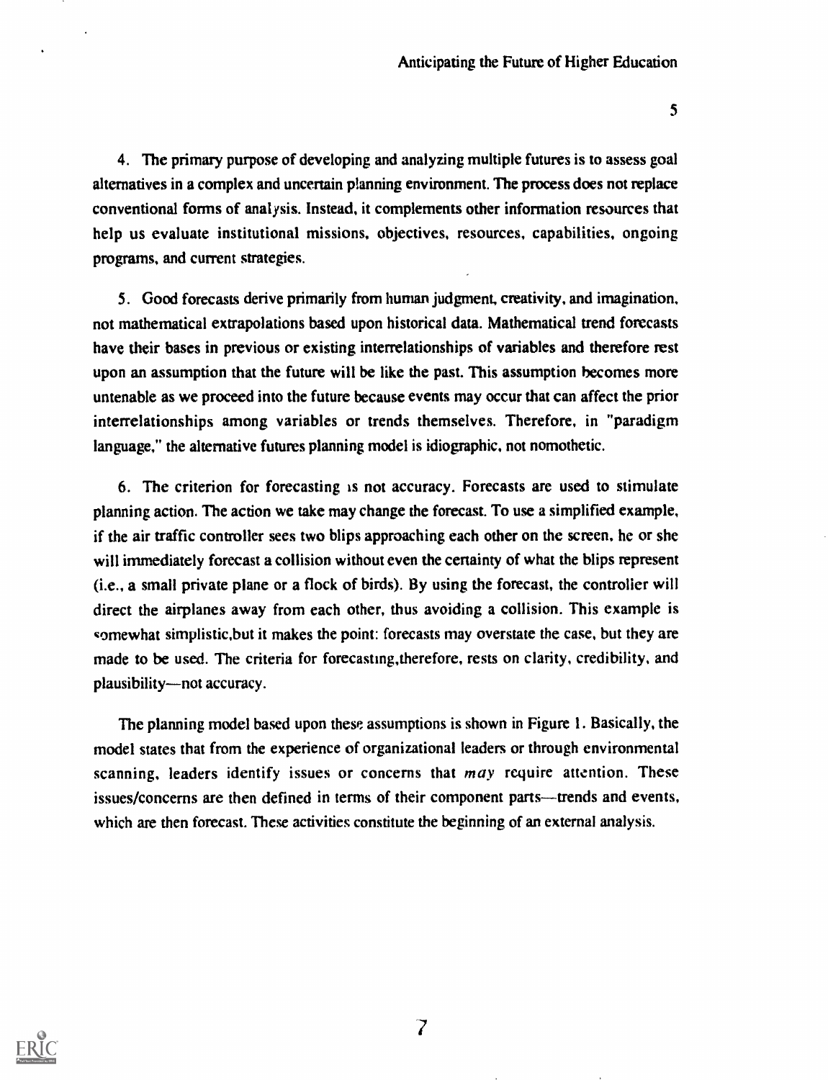4. The primary purpose of developing and analyzing multiple futures is to assess goal alternatives in a complex and uncertain planning environment. The process does not replace conventional forms of analysis. Instead, it complements other information resources that help us evaluate institutional missions, objectives, resources, capabilities, ongoing programs, and current strategies.

5. Good forecasts derive primarily from human judgment, creativity, and imagination, not mathematical extrapolations based upon historical data. Mathematical trend forecasts have their bases in previous or existing interrelationships of variables and therefore rest upon an assumption that the future will be like the past. This assumption becomes more untenable as we proceed into the future because events may occur that can affect the prior interrelationships among variables or trends themselves. Therefore, in "paradigm language," the alternative futures planning model is idiographic, not nomothetic.

6. The criterion for forecasting is not accuracy. Forecasts are used to stimulate planning action. The action we take may change the forecast. To use a simplified example, if the air traffic controller sees two blips approaching each other on the screen, he or she will immediately forecast a collision without even the certainty of what the blips represent (i.e., a small private plane or a flock of birds). By using the forecast, the controller will direct the airplanes away from each other, thus avoiding a collision. This example is somewhat simplistic,but it makes the point: forecasts may overstate the case, but they are made to be used. The criteria for forecasting,therefore, rests on clarity, credibility, and plausibility-not accuracy.

The planning model based upon these assumptions is shown in Figure I. Basically, the model states that from the experience of organizational leaders or through environmental scanning, leaders identify issues or concerns that  $may$  require attention. These issues/concerns are then defined in terms of their component parts—trends and events, which are then forecast. These activities constitute the beginning of an external analysis.

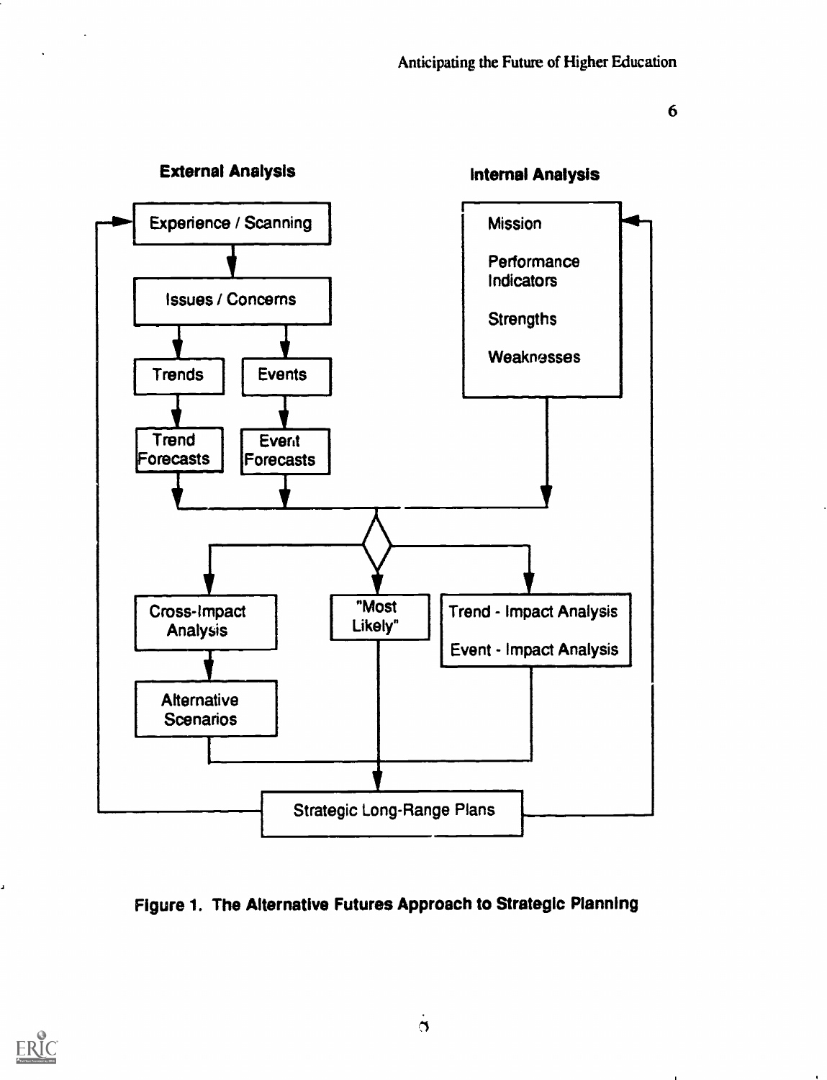

### Figure 1. The Alternative Futures Approach to Strategic Planning



J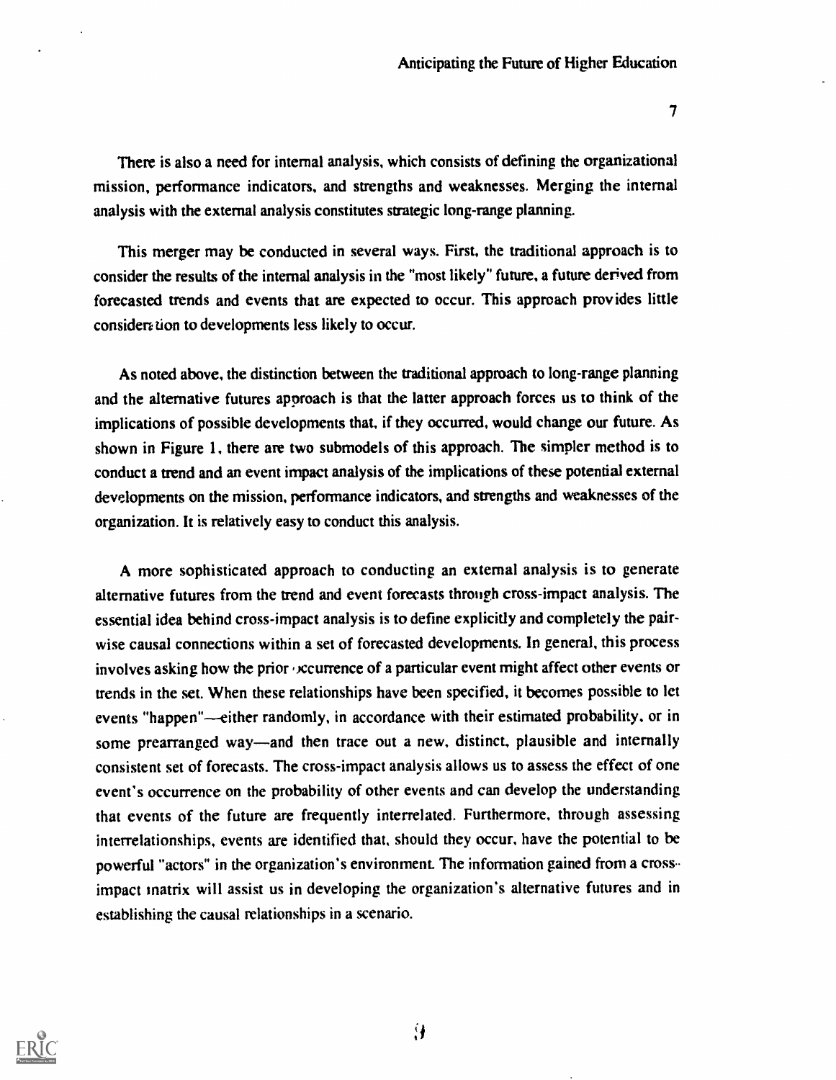$7\,$ 

There is also a need for internal analysis, which consists of defining the organizational mission, performance indicators, and strengths and weaknesses. Merging the internal analysis with the external analysis constitutes strategic long-range planning.

This merger may be conducted in several ways. First, the traditional approach is to consider the results of the internal analysis in the "most likely" future, a future derived from forecasted trends and events that are expected to occur. This approach provides little consideration to developments less likely to occur.

As noted above, the distinction between the traditional approach to long-range planning and the alternative futures approach is that the latter approach forces us to think of the implications of possible developments that, if they occumed, would change our future. As shown in Figure 1, there are two submodels of this approach. The simpler method is to conduct a trend and an event impact analysis of the implications of these potential external developments on the mission, performance indicators, and strengths and weaknesses of the organization. It is relatively easy to conduct this analysis.

A more sophisticated approach to conducting an external analysis is to generate alternative futures from the trend and event forecasts through cross-impact analysis. The essential idea behind cross-impact analysis is to define explicitly and completely the pairwise causal connections within a set of forecasted developments. In general, this process involves asking how the prior , ccurrence of a particular event might affect other events or trends in the set. When these relationships have been specified, it becomes possible to let events "happen"—either randomly, in accordance with their estimated probability, or in some prearranged way—and then trace out a new, distinct, plausible and internally consistent set of forecasts. The cross-impact analysis allows us to assess the effect of one event's occurrence on the probability of other events and can develop the understanding that events of the future are frequently interrelated. Furthermore, through assessing interrelationships, events are identified that, should they occur, have the potential to be powerful "actors" in the organization's environment. The information gained from a cross.. impact matrix will assist us in developing the organization's alternative futures and in establishing the causal relationships in a scenario.

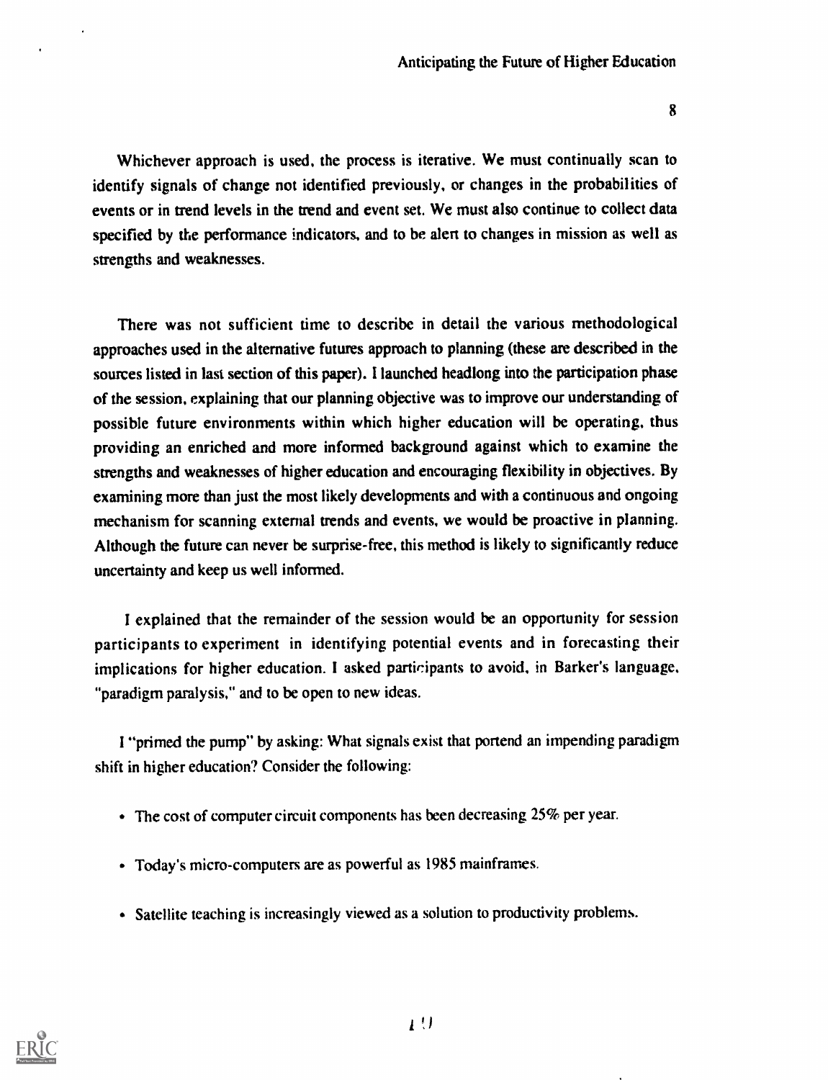Whichever approach is used, the process is iterative. We must continually scan to identify signals of change not identified previously, or changes in the probabilities of events or in trend levels in the trend and event set. We must also continue to collect data specified by the performance indicators, and to be alert to changes in mission as well as strengths and weaknesses.

There was not sufficient time to describe in detail the various methodological approaches used in the alternative futures approach to planning (these are described in the sources listed in last section of this paper). I launched headlong into the participation phase of the session, explaining that our planning objective was to improve our understanding of possible future environments within which higher education will be operating, thus providing an enriched and more informed background against which to examine the strengths and weaknesses of higher education and encouraging flexibility in objectives. By examining more than just the most likely developments and with a continuous and ongoing mechanism for scanning external trends and events, we would be proactive in planning. Although the future can never be surprise-free, this method is likely to significantly reduce uncertainty and keep us well informed.

I explained that the remainder of the session would be an opportunity for session participants to experiment in identifying potential events and in forecasting their implications for higher education. I asked participants to avoid, in Barker's language. "paradigm paralysis," and to be open to new ideas.

I "primed the pump" by asking: What signals exist that portend an impending paradigm shift in higher education? Consider the following:

- The cost of computer circuit components has been decreasing 25% per year.
- Today's micro-computers are as powerful as 1985 mainframes.
- Satellite teaching is increasingly viewed as a solution to productivity problems.

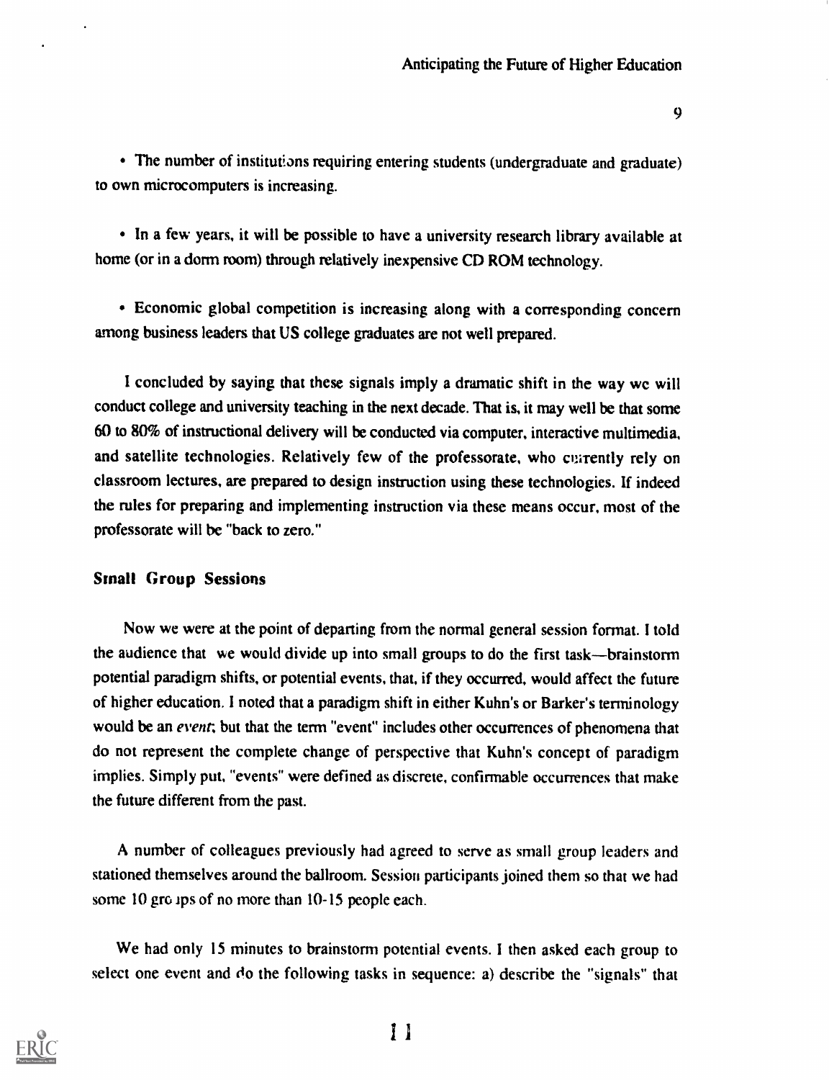The number of institutions requiring entering students (undergraduate and graduate) to own microcomputers is increasing.

In a few years, it will be possible to have a university research library available at home (or in a dorm room) through relatively inexpensive CD ROM technology.

Economic global competition is increasing along with a corresponding concern among business leaders that US college graduates are not well prepared.

I concluded by saying that these signals imply a dramatic shift in the way we will conduct college and university teaching in the next decade. That is, it may well be that some 60 to 80% of instructional delivery will be conducted via computer, interactive multimedia, and satellite technologies. Relatively few of the professorate, who currently rely on classroom lectures, are prepared to design instruction using these technologies. If indeed the rules for preparing and implementing instruction via these means occur, most of the professorate will be "back to zero."

### Small Group Sessions

Now we were at the point of departing from the normal general session format. I told the audience that we would divide up into small groups to do the first task—brainstorm potential paradigm shifts, or potential events, that, if they occurred, would affect the future of higher education. I noted that a paradigm shift in either Kuhn's or Barker's terminology would be an event; but that the term "event" includes other occurrences of phenomena that do not represent the complete change of perspective that Kuhn's concept of paradigm implies. Simply put, "events" were defined as discrete, confirmable occurrences that make the future different from the past.

A number of colleagues previously had agreed to serve as small group leaders and stationed themselves around the ballroom. Session participants joined them so that we had some 10 gro ips of no more than 10-15 people each.

We had only 15 minutes to brainstorm potential events. I then asked each group to select one event and do the following tasks in sequence: a) describe the "signals" that



I I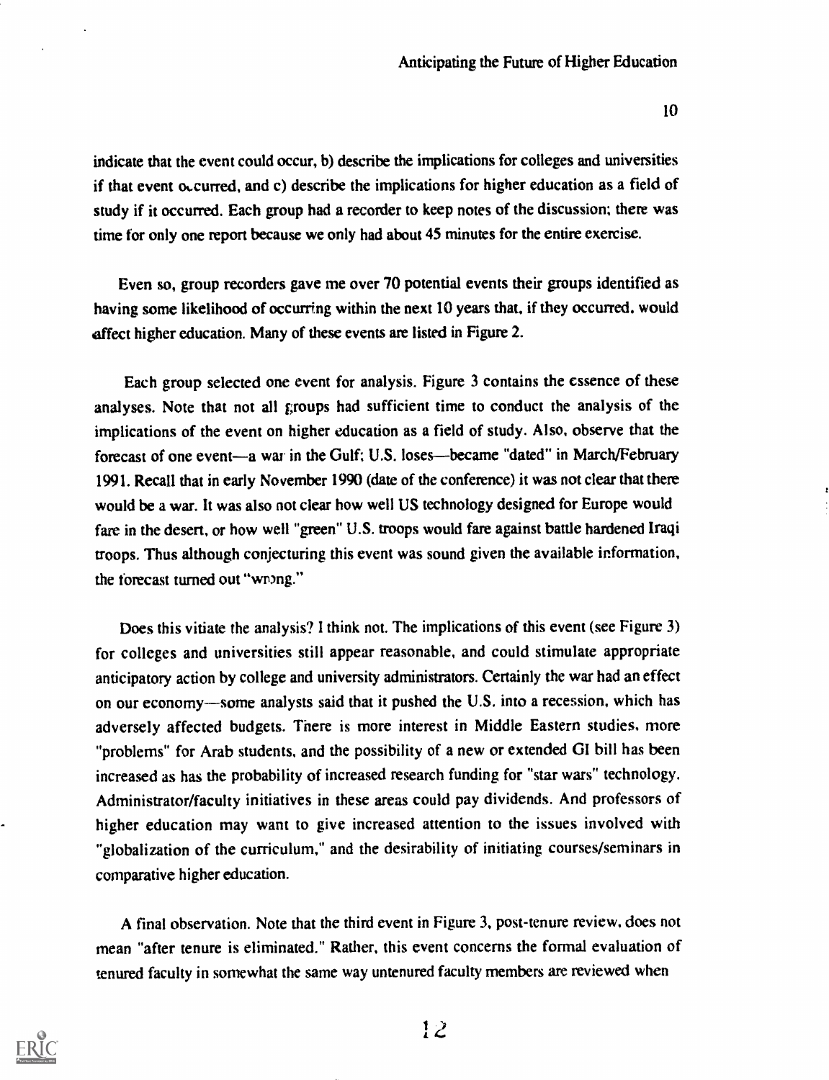indicate that the event could occur, b) describe the implications for colleges and universities if that event ocurred, and c) describe the implications for higher education as a field of study if it occurred. Each group had a recorder to keep notes of the discussion; there was time for only one report because we only had about 45 minutes for the entire exercise.

Even so, group recorders gave me over 70 potential events their groups identified as having some likelihood of occurring within the next 10 years that, if they occurred, would affect higher education. Many of these events are listed in Figure 2.

Each group selected one event for analysis. Figure 3 contains the essence of these analyses. Note that not all groups had sufficient time to conduct the analysis of the implications of the event on higher education as a field of study. Also, observe that the forecast of one event—a war in the Gulf; U.S. loses—became "dated" in March/February 1991. Recall that in early November 1990 (date of the conference) it was not clear that there would be a war. It was also not clear how well US technology designed for Europe would fare in the desert, or how well "green" U.S. troops would fare against battle hardened Iraqi troops. Thus although conjecturing this event was sound given the available information, the forecast turned out "wrong."

Does this vitiate the analysis? I think not. The implications of this event (see Figure 3) for colleges and universities still appear reasonable, and could stimulate appropriate anticipatory action by college and university administrators. Certainly the war had an effect on our economy--some analysts said that it pushed the U.S. into a recession, which has adversely affected budgets. There is more interest in Middle Eastern studies, more "problems" for Arab students, and the possibility of a new or extended GI bill has been increased as has the probability of increased research funding for "star wars" technology. Administrator/faculty initiatives in these areas could pay dividends. And professors of higher education may want to give increased attention to the issues involved with "globalization of the curriculum," and the desirability of initiating courses/seminars in comparative higher education.

A final observation. Note that the third event in Figure 3, post-tenure review, does not mean "after tenure is eliminated." Rather, this event concerns the formal evaluation of tenured faculty in somewhat the same way untenured faculty members are reviewed when



12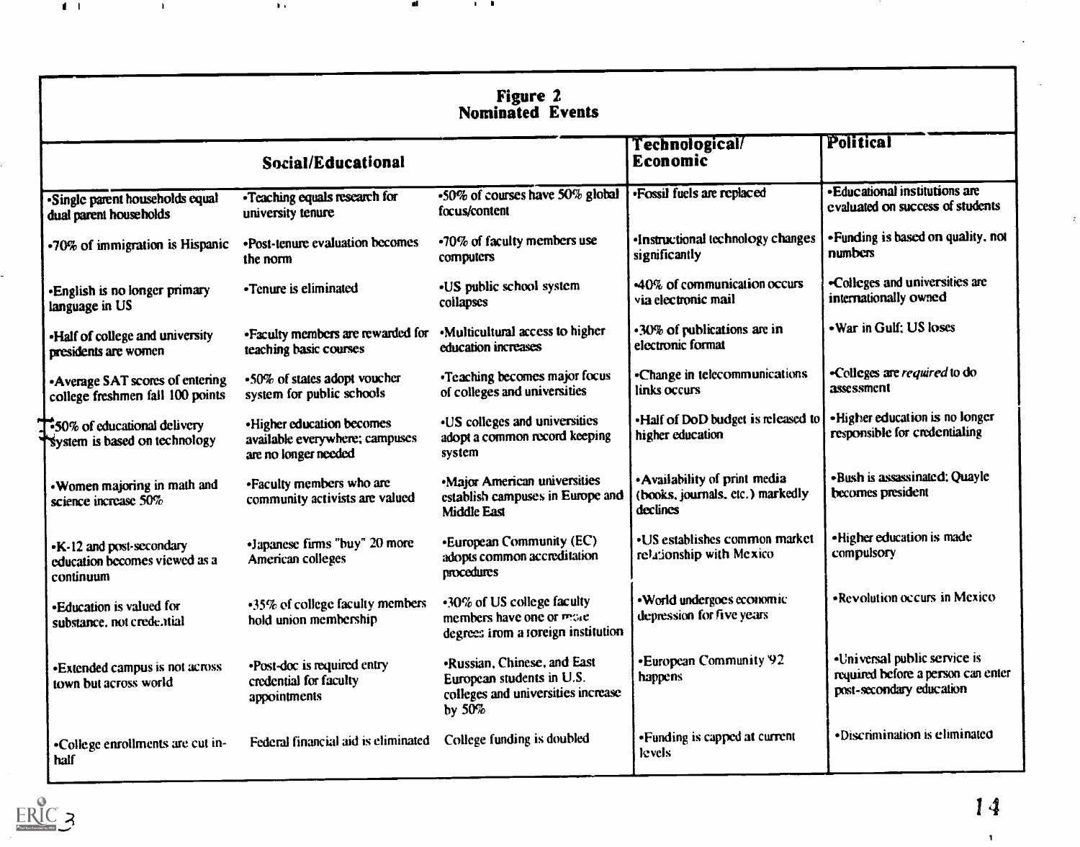| Nominated Events                                                              |                                                                                      |                                                                                                                    |                                                                               |                                                                                                |  |
|-------------------------------------------------------------------------------|--------------------------------------------------------------------------------------|--------------------------------------------------------------------------------------------------------------------|-------------------------------------------------------------------------------|------------------------------------------------------------------------------------------------|--|
| <b>Social/Educational</b>                                                     |                                                                                      |                                                                                                                    | Technological/<br><b>Economic</b>                                             | Political                                                                                      |  |
| Single parent households equal<br>dual parent households                      | • Teaching equals research for<br>university tenure                                  | $\cdot$ 50% of courses have 50% global<br>focus/content                                                            | <b>•Fossil fuels are replaced</b>                                             | • Educational institutions are<br>evaluated on success of students                             |  |
| .70% of immigration is Hispanic                                               | •Post-tenure evaluation becomes<br>the norm                                          | -70% of faculty members use<br>computers                                                                           | ·Instructional technology changes<br>significantly                            | • Funding is based on quality, not<br>numbers                                                  |  |
| •English is no longer primary<br>language in US                               | •Tenure is eliminated                                                                | -US public school system<br>collapses                                                                              | 40% of communication occurs<br>via electronic mail                            | -Colleges and universities are<br>internationally owned                                        |  |
| -Half of college and university<br>presidents are women                       | • Faculty members are rewarded for<br>teaching basic courses                         | •Multicultural access to higher<br>education increases                                                             | •30% of publications are in<br>electronic format                              | - War in Gulf: US loses                                                                        |  |
| • Average SAT scores of entering<br>college freshmen fall 100 points          | .50% of states adopt voucher<br>system for public schools                            | •Teaching becomes major focus<br>of colleges and universities                                                      | -Change in telecommunications<br>links occurs                                 | -Colleges are <i>required</i> to do<br>assessment                                              |  |
| <b>T</b> :50% of educational delivery<br><b>System is based on technology</b> | • Higher education becomes<br>available everywhere; campuses<br>are no longer needed | . US colleges and universities<br>adopt a common record keeping<br>system                                          | . Half of DoD budget is released to<br>higher education                       | . Higher education is no longer<br>responsible for credentialing                               |  |
| . Women majoring in math and<br>science increase 50%                          | •Faculty members who are<br>community activists are valued                           | ·Major American universities<br>establish campuses in Europe and<br><b>Middle East</b>                             | • Availability of print media<br>(books, journals, etc.) markedly<br>declines | •Bush is assassinated: Quayle<br>becomes president                                             |  |
| •K-12 and post-secondary<br>education becomes viewed as a<br>continuum        | •Japanese firms "buy" 20 more<br>American colleges                                   | <b>European Community (EC)</b><br>adopts common accreditation<br><b>procedures</b>                                 | • US establishes common market<br>relationship with Mexico                    | • Higher education is made<br>compulsory                                                       |  |
| •Education is valued for<br>substance, not credential                         | •35% of college faculty members<br>hold union membership                             | •30% of US college faculty<br>members have one or more<br>degrees irom a toreign institution                       | . World undergoes economic<br>depression for five years                       | •Revolution occurs in Mexico                                                                   |  |
| •Extended campus is not across<br>town but across world                       | •Post-doc is required entry<br>credential for faculty<br>appointments                | <b>.Russian, Chinese, and East</b><br>European students in U.S.<br>colleges and universities increase<br>by $50\%$ | •European Community 92<br>happens                                             | •Universal public service is<br>required before a person can enter<br>post-secondary education |  |
| -College enrollments are cut in-<br>half                                      | Federal financial aid is eliminated                                                  | College funding is doubled                                                                                         | • Funding is capped at current<br>levels.                                     | ·Discrimination is eliminated                                                                  |  |



 $\blacksquare$ 

 $\mathbf{H}_{\mathrm{eff}}$ 

 $\mathbf{H}$ 

al.

 $\mathbf{u}$ 

 $\langle \mathbf{1} \rangle$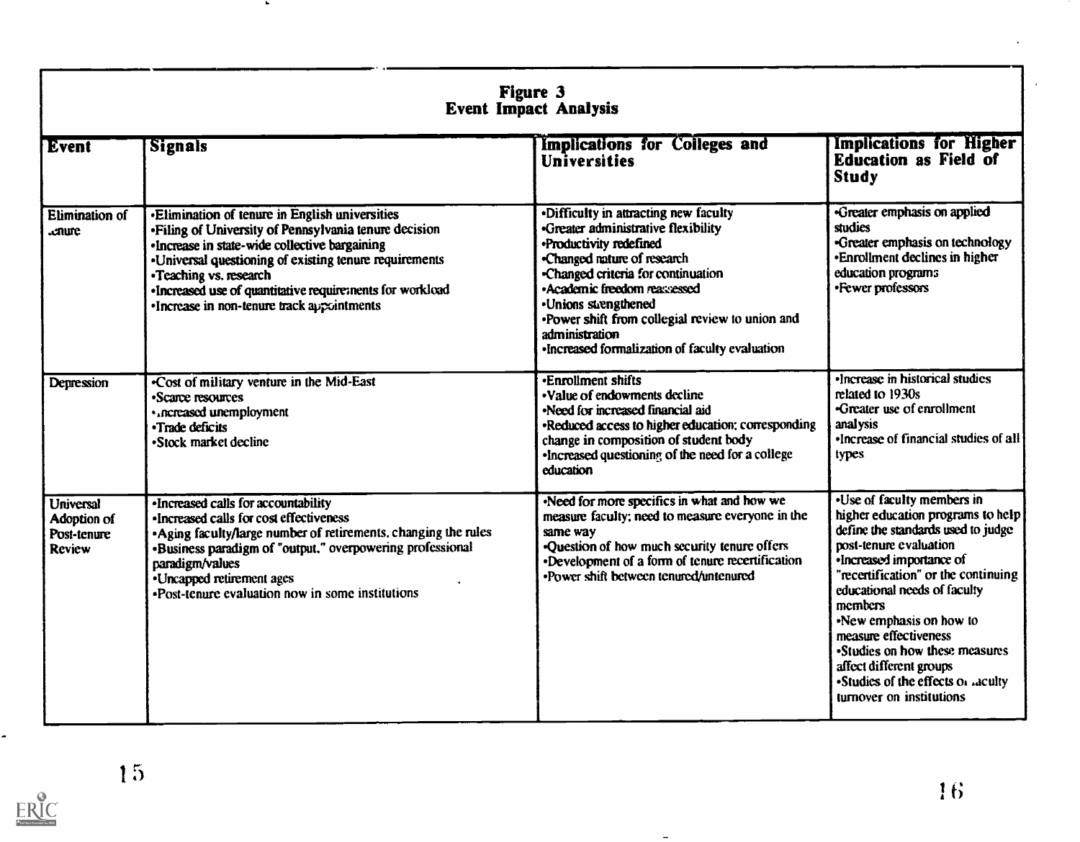| <b>Figure 3</b><br><b>Event Impact Analysis</b>          |                                                                                                                                                                                                                                                                                                                                                               |                                                                                                                                                                                                                                                                                                                                                                   |                                                                                                                                                                                                                                                                                                                                                                                                                                 |  |
|----------------------------------------------------------|---------------------------------------------------------------------------------------------------------------------------------------------------------------------------------------------------------------------------------------------------------------------------------------------------------------------------------------------------------------|-------------------------------------------------------------------------------------------------------------------------------------------------------------------------------------------------------------------------------------------------------------------------------------------------------------------------------------------------------------------|---------------------------------------------------------------------------------------------------------------------------------------------------------------------------------------------------------------------------------------------------------------------------------------------------------------------------------------------------------------------------------------------------------------------------------|--|
| <b>Event</b>                                             | <b>Signals</b>                                                                                                                                                                                                                                                                                                                                                | Implications for Colleges and<br>Universities                                                                                                                                                                                                                                                                                                                     | <b>Implications for Higher</b><br><b>Education as Field of</b><br><b>Study</b>                                                                                                                                                                                                                                                                                                                                                  |  |
| <b>Elimination of</b><br><b>enure</b>                    | <b>Elimination of tenure in English universities</b><br>. Filing of University of Pennsylvania tenure decision<br>•Increase in state-wide collective bargaining<br>•Universal questioning of existing tenure requirements<br>•Teaching vs. research<br>·Increased use of quantitative requirements for workload<br>•Increase in non-tenure track appointments | <b>-Difficulty in attracting new faculty</b><br>Greater administrative flexibility<br>·Productivity redefined<br>-Changed mature of research<br>-Changed criteria for continuation<br>·Academic freedom reassessed<br>•Unions strengthened<br>•Power shift from collegial review to union and<br>administration<br>•Increased formalization of faculty evaluation | Greater emphasis on applied<br>studies<br>-Greater emphasis on technology<br>•Enrollment declines in higher<br>education programs<br>•Fewer professors                                                                                                                                                                                                                                                                          |  |
| Depression                                               | .Cost of military venture in the Mid-East<br>•Scarce resources<br>· ncreased unemployment<br>•Trade deficits<br>•Stock market decline                                                                                                                                                                                                                         | <b>Enrollment shifts</b><br>. Value of endowments decline<br>-Need for increased financial aid<br>•Reduced access to higher education: corresponding<br>change in composition of student body<br>•Increased questioning of the need for a college<br>education                                                                                                    | •Increase in historical studies<br>related to 1930s<br>-Greater use of enrollment<br>analysis<br>•Increase of financial studies of all<br>types                                                                                                                                                                                                                                                                                 |  |
| <b>Universal</b><br>Adoption of<br>Post-tenure<br>Review | •Increased calls for accountability<br>•Increased calls for cost effectiveness<br>Aging faculty/large number of retirements, changing the rules<br>-Business paradigm of "output," overpowering professional<br>paradigm/values<br>•Uncapped retirement ages<br>•Post-tenure evaluation now in some institutions                                              | Need for more specifics in what and how we<br>measure faculty; need to measure everyone in the<br>same way<br>•Question of how much security tenure offers<br>Development of a form of tenure recertification<br>•Power shift between tenured/untenured                                                                                                           | .Use of faculty members in<br>higher education programs to help<br>define the standards used to judge<br>post-tenure evaluation<br>•Increased importance of<br>"recertification" or the continuing<br>educational needs of faculty<br>members<br>-New emphasis on how to<br>measure effectiveness<br>•Studies on how these measures<br>affect different groups<br>•Studies of the effects of aculty<br>turnover on institutions |  |

 $\overline{a}$ 

 $\overline{\phantom{a}}$ 

ERIC

I 5

 $\mathbf{r}$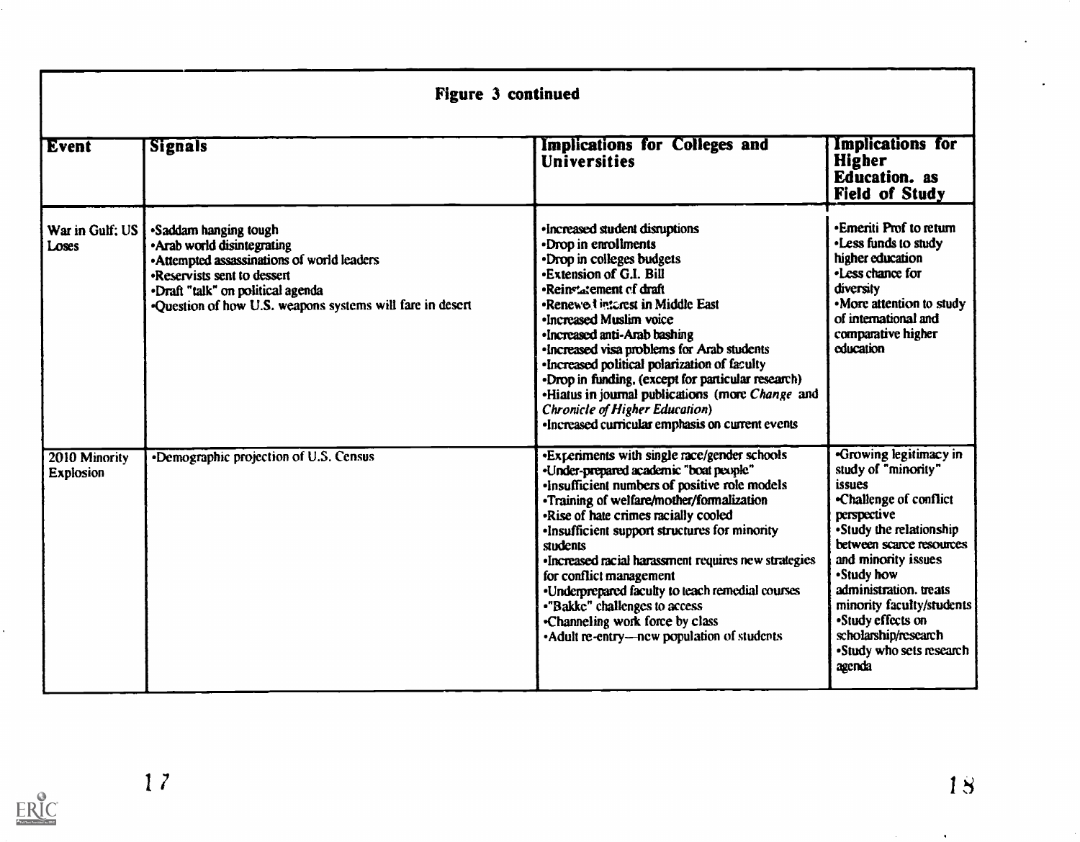| <b>Figure 3 continued</b>         |                                                                                                                                                                                                                                      |                                                                                                                                                                                                                                                                                                                                                                                                                                                                                                                                                       |                                                                                                                                                                                                                                                                                                                                               |  |
|-----------------------------------|--------------------------------------------------------------------------------------------------------------------------------------------------------------------------------------------------------------------------------------|-------------------------------------------------------------------------------------------------------------------------------------------------------------------------------------------------------------------------------------------------------------------------------------------------------------------------------------------------------------------------------------------------------------------------------------------------------------------------------------------------------------------------------------------------------|-----------------------------------------------------------------------------------------------------------------------------------------------------------------------------------------------------------------------------------------------------------------------------------------------------------------------------------------------|--|
| Event                             | <b>Signals</b>                                                                                                                                                                                                                       | Implications for Colleges and<br><b>Universities</b>                                                                                                                                                                                                                                                                                                                                                                                                                                                                                                  | Implications for<br>Higher<br><b>Education.</b> as<br><b>Field of Study</b>                                                                                                                                                                                                                                                                   |  |
| War in Gulf: US<br>Loses          | •Saddam hanging tough<br>• Arab world disintegrating<br>• Attempted assassinations of world leaders<br>•Reservists sent to dessert<br>.Draft "talk" on political agenda<br>•Question of how U.S. weapons systems will fare in desert | ·Increased student disruptions<br>•Drop in enrollments<br>•Drop in colleges budgets<br><b>•Extension of G.I. Bill</b><br>•Reinstatement of draft<br>•Renewed interest in Middle East<br>•Increased Muslim voice<br>·Increased anti-Arab bashing<br>·Increased visa problems for Arab students<br>•Increased political polarization of faculty<br>•Drop in funding, (except for particular research)<br>«Hiatus in journal publications (more Change and<br><b>Chronicle of Higher Education</b> )<br>•Increased curricular emphasis on current events | •Emeriti Prof to return<br>•Less funds to study<br>higher education<br>•Less chance for<br>diversity<br>•More attention to study<br>of international and<br>comparative higher<br>education                                                                                                                                                   |  |
| 2010 Minority<br><b>Explosion</b> | <b>•Demographic projection of U.S. Census</b>                                                                                                                                                                                        | *Experiments with single race/gender schools<br>«Under-prepared academic "boat people"<br>. Insufficient numbers of positive role models<br>•Training of welfare/mother/formalization<br>•Rise of hate crimes racially cooled<br>.Insufficient support structures for minority<br>students<br>·Increased racial harassment requires new strategies<br>for conflict management<br>•Underprepared faculty to teach remedial courses<br>•"Bakke" challenges to access<br>•Channeling work force by class<br>• Adult re-entry—new population of students  | <b>-Growing legitimacy in</b><br>study of "minority"<br>issues<br>-Challenge of conflict<br>perspective<br>•Study the relationship<br>between scarce resources<br>and minority issues<br>•Study how<br>administration. treats<br>minority faculty/students<br>•Study effects on<br>scholarship/research<br>•Study who sets research<br>agenda |  |

ERIC

 $\mathcal{A}^{\pm}$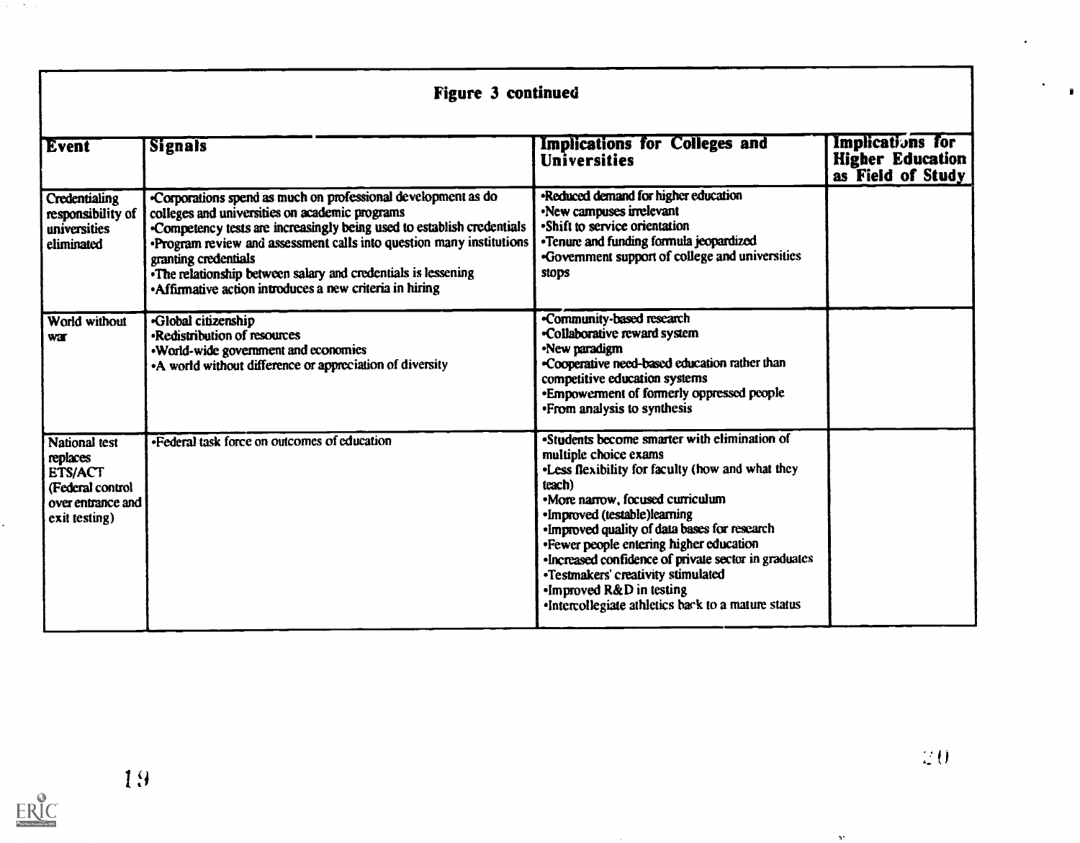|                                                                                                       | <b>Figure 3 continued</b>                                                                                                                                                                                                                                                                                                                                                                                           |                                                                                                                                                                                                                                                                                                                                                                                                                                                                                      |                                                                  |  |  |
|-------------------------------------------------------------------------------------------------------|---------------------------------------------------------------------------------------------------------------------------------------------------------------------------------------------------------------------------------------------------------------------------------------------------------------------------------------------------------------------------------------------------------------------|--------------------------------------------------------------------------------------------------------------------------------------------------------------------------------------------------------------------------------------------------------------------------------------------------------------------------------------------------------------------------------------------------------------------------------------------------------------------------------------|------------------------------------------------------------------|--|--|
| Event                                                                                                 | <b>Signals</b>                                                                                                                                                                                                                                                                                                                                                                                                      | Implications for Colleges and<br><b>Universities</b>                                                                                                                                                                                                                                                                                                                                                                                                                                 | Implications for<br><b>Higher Education</b><br>as Field of Study |  |  |
| Credentialing<br>responsibility of<br>universities<br>eliminated                                      | Corporations spend as much on professional development as do<br>colleges and universities on academic programs<br>Competency tests are increasingly being used to establish credentials<br>Program review and assessment calls into question many institutions<br>granting credentials<br>•The relationship between salary and credentials is lessening<br>• Affirmative action introduces a new criteria in hiring | -Reduced demand for higher education<br>•New campuses irrelevant<br>•Shift to service orientation<br>•Tenure and funding formula jeopardized<br>•Government support of college and universities<br>stops                                                                                                                                                                                                                                                                             |                                                                  |  |  |
| World without<br>war                                                                                  | -Global citizenship<br>-Redistribution of resources<br>. World-wide government and economies<br>• A world without difference or appreciation of diversity                                                                                                                                                                                                                                                           | -Community-based research<br>-Collaborative reward system<br>•New paradigm<br>-Cooperative need-based education rather than<br>competitive education systems<br>•Empowerment of formerly oppressed people<br>• From analysis to synthesis                                                                                                                                                                                                                                            |                                                                  |  |  |
| <b>National test</b><br>replaces<br>ETS/ACT<br>(Federal control<br>over entrance and<br>exit testing) | . Federal task force on outcomes of education                                                                                                                                                                                                                                                                                                                                                                       | •Students become smarter with elimination of<br>multiple choice exams<br>. Less flexibility for faculty (how and what they<br>teach)<br>•More narrow, focused curriculum<br>·Improved (testable)learning<br>. Improved quality of data bases for research<br>•Fewer people entering higher education<br>•Increased confidence of private sector in graduates<br>•Testmakers' creativity stimulated<br>.Improved R&D in testing<br>•Intercollegiate athletics back to a mature status |                                                                  |  |  |

ERIC

 $\alpha_{\rm eff} = 2.00$ 

 $\mathbf{v}^{\star}$ 

 $\mathbf{r}$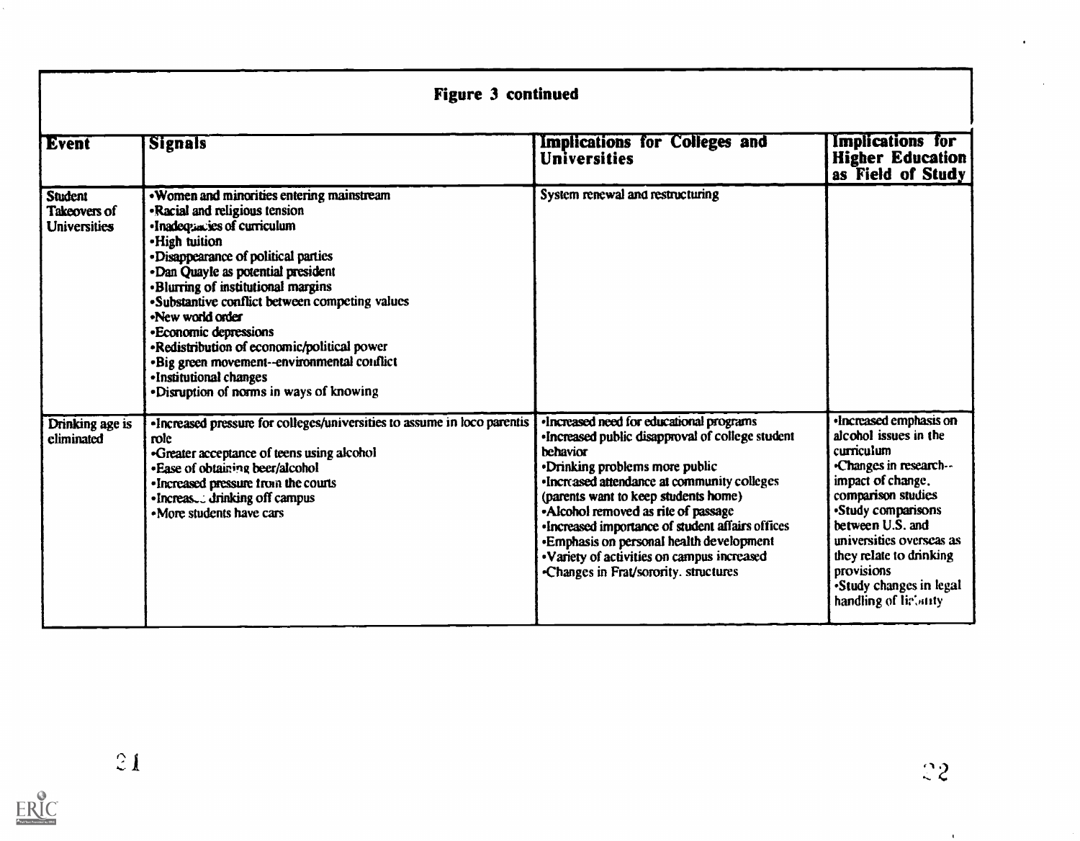| <b>Figure 3 continued</b>                                    |                                                                                                                                                                                                                                                                                                                                                                                                                                                                                                                          |                                                                                                                                                                                                                                                                                                                                                                                                                                                                                |                                                                                                                                                                                                                                                                                                           |  |
|--------------------------------------------------------------|--------------------------------------------------------------------------------------------------------------------------------------------------------------------------------------------------------------------------------------------------------------------------------------------------------------------------------------------------------------------------------------------------------------------------------------------------------------------------------------------------------------------------|--------------------------------------------------------------------------------------------------------------------------------------------------------------------------------------------------------------------------------------------------------------------------------------------------------------------------------------------------------------------------------------------------------------------------------------------------------------------------------|-----------------------------------------------------------------------------------------------------------------------------------------------------------------------------------------------------------------------------------------------------------------------------------------------------------|--|
| <b>Event</b>                                                 | <b>Signals</b>                                                                                                                                                                                                                                                                                                                                                                                                                                                                                                           | Implications for Colleges and<br><b>Universities</b>                                                                                                                                                                                                                                                                                                                                                                                                                           | Implications for<br><b>Higher Education</b><br>as Field of Study                                                                                                                                                                                                                                          |  |
| <b>Student</b><br><b>Takeovers of</b><br><b>Universities</b> | • Women and minorities entering mainstream<br>-Racial and religious tension<br>•Inadequaties of curriculum<br>-High tuition<br>• Disappearance of political parties<br>-Dan Quayle as potential president<br><b>-Blurring of institutional margins</b><br>-Substantive conflict between competing values<br>.New world order<br>-Economic depressions<br>•Redistribution of economic/political power<br>·Big green movement--environmental conflict<br>-Institutional changes<br>·Disruption of norms in ways of knowing | System renewal and restructuring                                                                                                                                                                                                                                                                                                                                                                                                                                               |                                                                                                                                                                                                                                                                                                           |  |
| Drinking age is<br>eliminated                                | «Increased pressure for colleges/universities to assume in loco parentis<br>role<br>•Greater acceptance of teens using alcohol<br>-Ease of obtaining beer/alcohol<br>•Increased pressure from the courts<br>•Increas drinking off campus<br>• More students have cars                                                                                                                                                                                                                                                    | ·Increased need for educational programs<br>•Increased public disapproval of college student<br><b>behavior</b><br>•Drinking problems more public<br>·Increased attendance at community colleges<br>(parents want to keep students home)<br>•Alcohol removed as rite of passage<br>·Increased importance of student affairs offices<br><b>•Emphasis on personal health development</b><br>· Variety of activities on campus increased<br>-Changes in Frat/sorority. structures | <b>Increased emphasis on</b><br>alcohol issues in the<br>curriculum<br>-Changes in research--<br>impact of change.<br>comparison studies<br>•Study comparisons<br>between U.S. and<br>universities overseas as<br>they relate to drinking<br>provisions<br>Study changes in legal<br>handling of liebarty |  |

 $\bar{\mathbf{t}}$ 

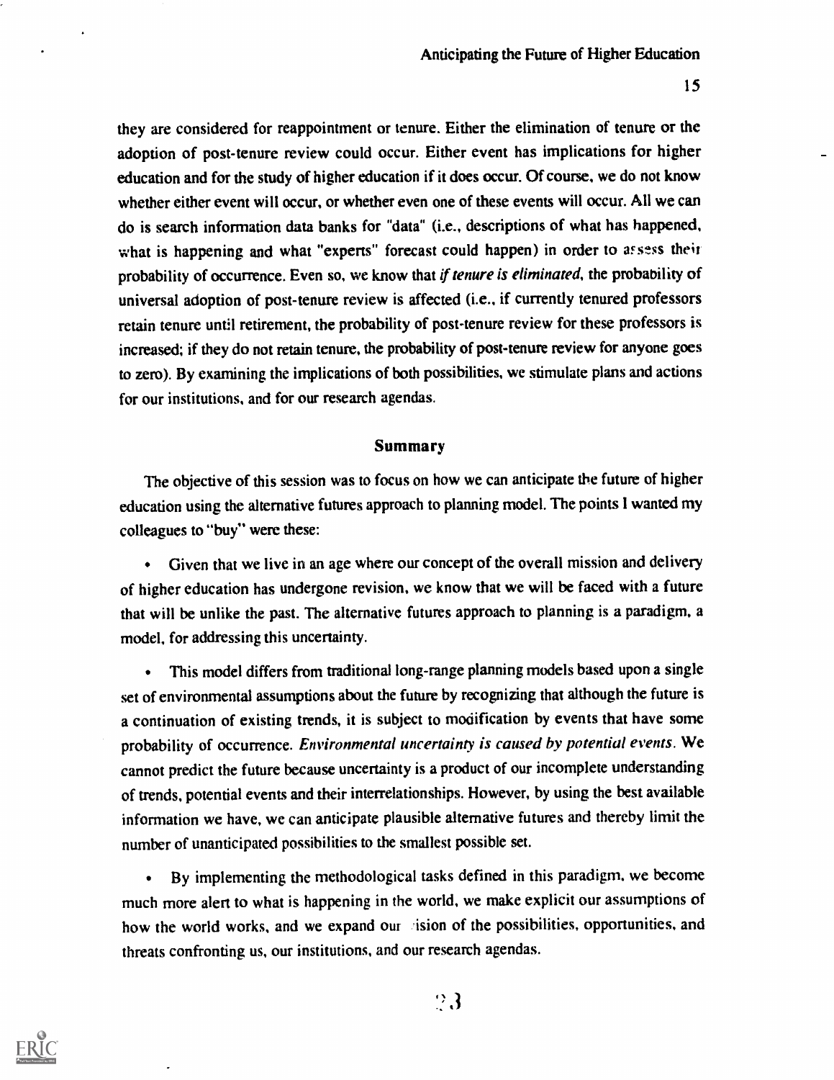they are considered for reappointment or tenure. Either the elimination of tenure or the adoption of post-tenure review could occur. Either event has implications for higher education and for the study of higher education if it does occur. Of course, we do not know whether either event will occur, or whether even one of these events will occur. All we can do is search information data banks for "data" (i.e., descriptions of what has happened, what is happening and what "experts" forecast could happen) in order to assess their probability of occurrence. Even so, we know that if tenure is eliminated, the probability of universal adoption of post-tenure review is affected (i.e., if currently tenured professors retain tenure until retirement, the probability of post-tenure review for these professors is increased; if they do not retain tenure, the probability of post-tenure review for anyone goes to zero). By examining the implications of both possibilities, we stimulate plans and actions for our institutions, and for our research agendas.

### Summary

The objective of this session was to focus on how we can anticipate the future of higher education using the alternative futures approach to planning model. The points I wanted my colleagues to "buy" were these:

Given that we live in an age where our concept of the overall mission and delivery of higher education has undergone revision, we know that we will be faced with a future that will be unlike the past. The alternative futures approach to planning is a paradigm, a model, for addressing this uncertainty.

This model differs from traditional long-range planning models based upon a single  $\bullet$ set of environmental assumptions about the future by recognizing that although the future is a continuation of existing trends, it is subject to modification by events that have some probability of occurrence. Environmental uncertainty is caused by potential events. We cannot predict the future because uncertainty is a product of our incomplete understanding of trends, potential events and their interrelationships. However, by using the best available information we have, we can anticipate plausible alternative futures and thereby limit the number of unanticipated possibilities to the smallest possible set.

By implementing the methodological tasks defined in this paradigm. we become much more alert to what is happening in the world, we make explicit our assumptions of how the world works, and we expand our ision of the possibilities, opportunities, and threats confronting us, our institutions, and our research agendas.



 $\mathbb{R}3$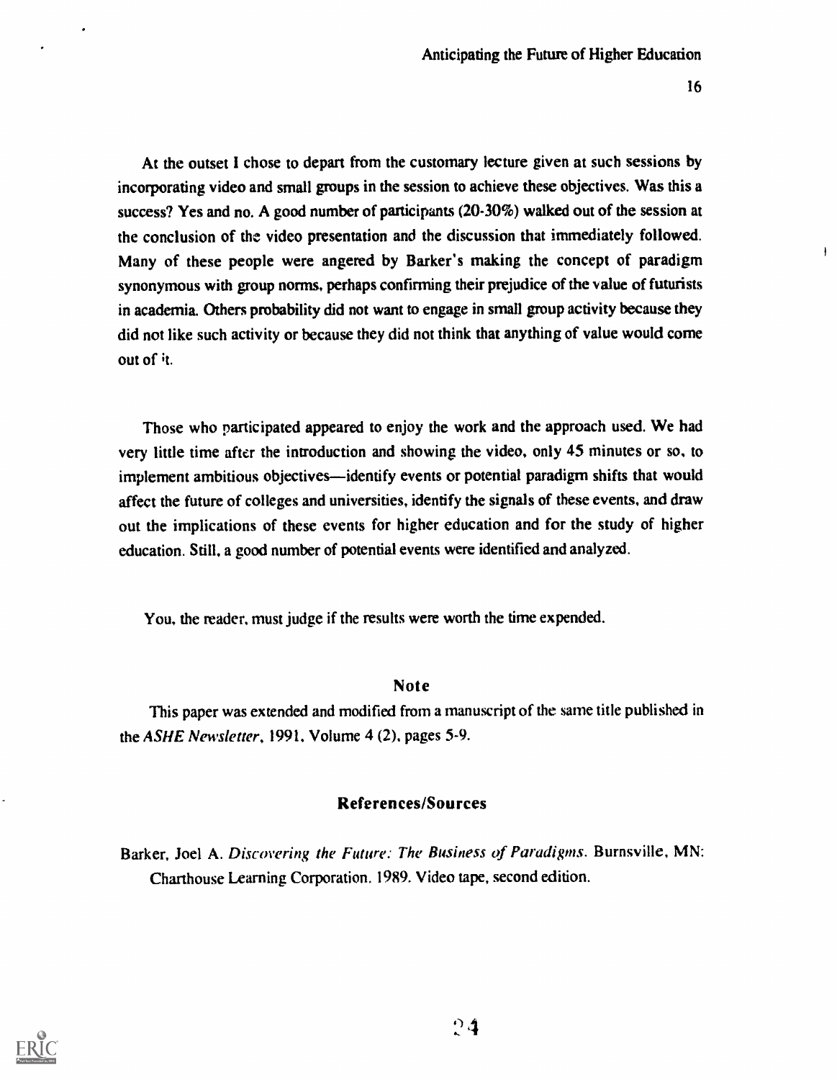At the outset I chose to depart from the customary lecture given at such sessions by incorporating video and small groups in the session to achieve these objectives. Was this a success? Yes and no. A good number of participants (20-30%) walked out of the session at the conclusion of the video presentation and the discussion that immediately followed. Many of these people were angered by Barker's making the concept of paradigm synonymous with group norms, perhaps confirming their prejudice of the value of futurists in academia. Others probability did not want to engage in small group activity because they did not like such activity or because they did not think that anything of value would come out of it.

Those who participated appeared to enjoy the work and the approach used. We had very little time after the introduction and showing the video, only 45 minutes or so, to implement ambitious objectives—identify events or potential paradigm shifts that would affect the future of colleges and universities, identify the signals of these events, and draw out the implications of these events for higher education and for the study of higher education. Still, a good number of potential events were identified and analyzed.

You, the reader, must judge if the results were worth the time expended.

### Note

This paper was extended and modified from a manuscript of the same title published in the ASHE Newsletter, 1991, Volume 4 (2). pages 5-9.

### References/Sources

Barker, Joel A. Discovering the Future: The Business of Paradigms. Burnsville, MN: Charthouse Learning Corporation. 1989. Video tape, second edition.

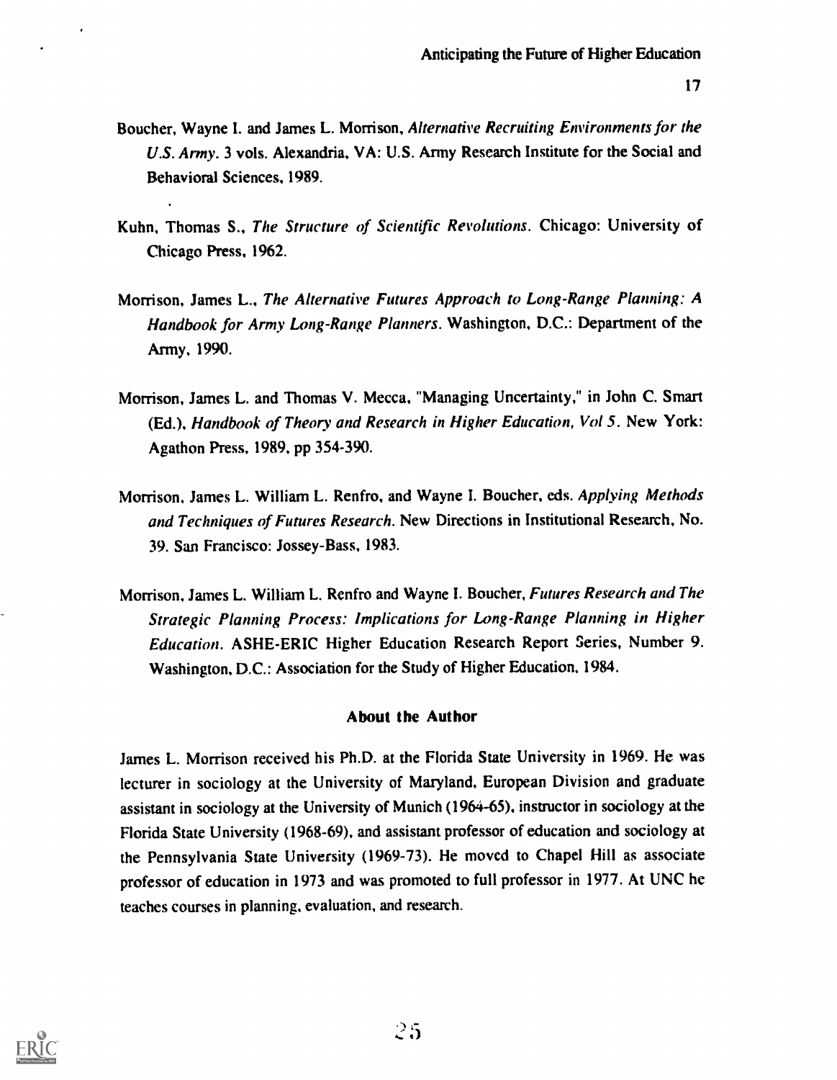- Boucher, Wayne I. and James L. Morrison, Alternative Recruiting Environments for the U.S. Army. 3 vols. Alexandria. VA: U.S. Army Research Institute for the Social and Behavioral Sciences, 1989.
- Kuhn, Thomas S., The Structure of Scientific Revolutions. Chicago: University of Chicago Press, 1962.
- Morrison, James L., The Alternative Futures Approach to Long-Range Planning: A Handbook for Army Long-Range Planners. Washington, D.C.: Department of the Army, 1990.
- Morrison, James L. and Thomas V. Mecca, "Managing Uncertainty," in John C. Smart (Ed.), Handbook of Theory and Research in Higher Education, Vol 5. New York: Agathon Press, 1989, pp 354-390.
- Morrison, James L. William L. Renfro, and Wayne I. Boucher, eds. Applying Methods and Techniques of Futures Research. New Directions in Institutional Research, No. 39. San Francisco: Jossey-Bass, 1983.
- Morrison, James L. William L. Renfro and Wayne I. Boucher, Futures Research and The Strategic Planning Process: Implications for Long-Range Planning in Higher Education. ASHE-ERIC Higher Education Research Report Series, Number 9. Washington, D.C.: Association for the Study of Higher Education. 1984.

### About the Author

James L. Morrison received his Ph.D. at the Florida State University in 1969. He was lecturer in sociology at the University of Maryland, European Division and graduate assistant in sociology at the University of Munich (1964-65), instructor in sociology at the Florida State University (1968-69), and assistant professor of education and sociology at the Pennsylvania State University (1969-73). He moved to Chapel Hill as associate professor of education in 1973 and was promoted to full professor in 1977. At UNC he teaches courses in planning, evaluation, and research.

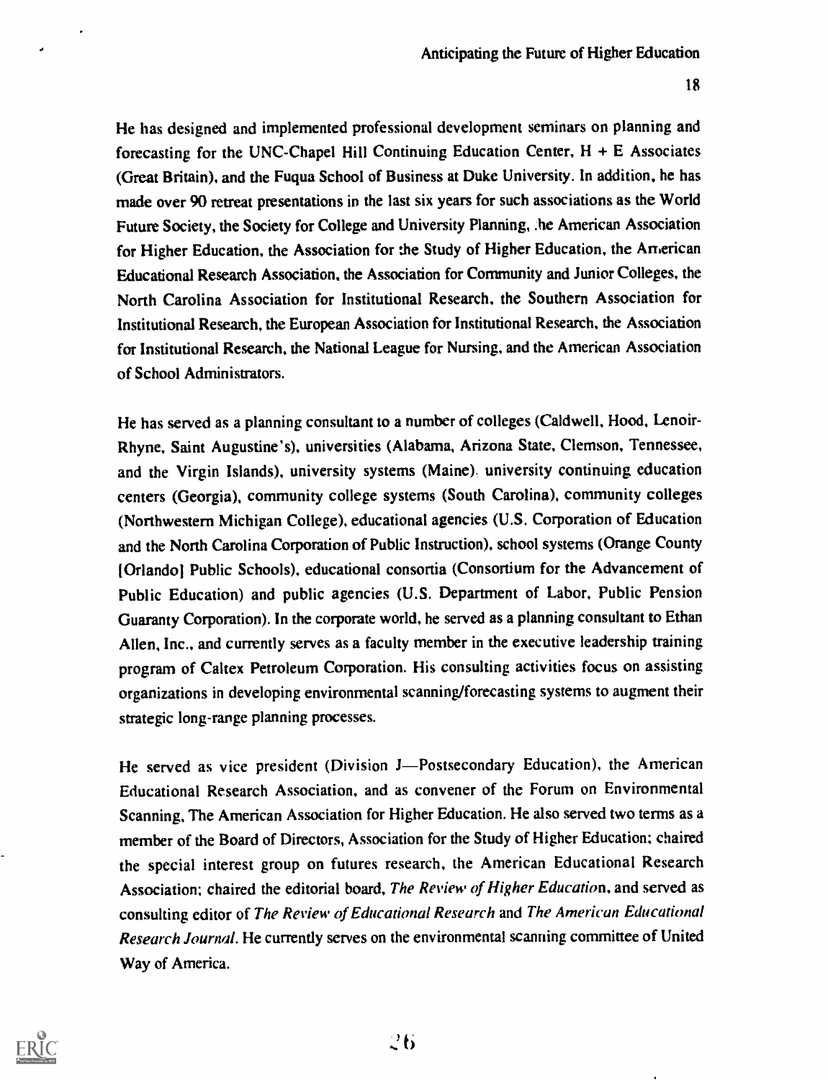He has designed and implemented professional development seminars on planning and forecasting for the UNC-Chapel Hill Continuing Education Center,  $H + E$  Associates (Great Britain), and the Fuqua School of Business at Duke University. In addition, he has made over 90 retreat presentations in the last six years for such associations as the World Future Society, the Society for College and University Planning, .he American Association for Higher Education, the Association for the Study of Higher Education, the American Educational Research Association, the Association for Community and Junior Colleges, the North Carolina Association for Institutional Research, the Southern Association for Institutional Research, the European Association for Institutional Research, the Association for Institutional Research, the National League for Nursing, and the American Association of School Administrators.

He has served as a planning consultant to a number of colleges (Caldwell, Hood, Lenoir-Rhyne, Saint Augustine's), universities (Alabama, Arizona State, Clemson, Tennessee, and the Virgin Islands), university systems (Maine), university continuing education centers (Georgia), community college systems (South Carolina), community colleges (Northwestern Michigan College), educational agencies (U.S. Corporation of Education and the North Carolina Corporation of Public Instruction), school systems (Orange County (Orlando! Public Schools), educational consortia (Consortium for the Advancement of Public Education) and public agencies (U.S. Department of Labor, Public Pension Guaranty Corporation). In the corporate world, he served as a planning consultant to Ethan Allen, Inc., and currently serves as a faculty member in the executive leadership training program of Caltex Petroleum Corporation. His consulting activities focus on assisting organizations in developing environmental scanning/forecasting systems to augment their strategic long-range planning processes.

He served as vice president (Division J—Postsecondary Education), the American Educational Research Association, and as convener of the Forum on Environmental Scanning, The American Association for Higher Education. He also served two terms as a member of the Board of Directors, Association for the Study of Higher Education; chaired the special interest group on futures research, the American Educational Research Association; chaired the editorial board, The Review of Higher Education, and served as consulting editor of The Review of Educational Research and The American Educational Research Journal. He currently serves on the environmental scanning committee of United Way of America.